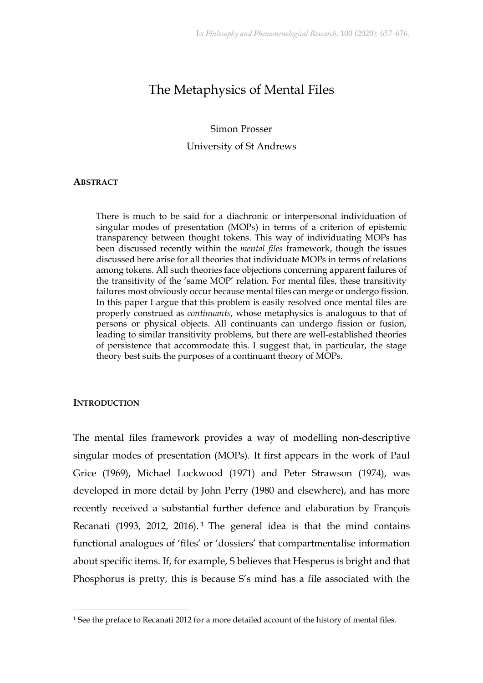# The Metaphysics of Mental Files

## Simon Prosser

University of St Andrews

## **ABSTRACT**

There is much to be said for a diachronic or interpersonal individuation of singular modes of presentation (MOPs) in terms of a criterion of epistemic transparency between thought tokens. This way of individuating MOPs has been discussed recently within the *mental files* framework, though the issues discussed here arise for all theories that individuate MOPs in terms of relations among tokens. All such theories face objections concerning apparent failures of the transitivity of the 'same MOP' relation. For mental files, these transitivity failures most obviously occur because mental files can merge or undergo fission. In this paper I argue that this problem is easily resolved once mental files are properly construed as *continuants*, whose metaphysics is analogous to that of persons or physical objects. All continuants can undergo fission or fusion, leading to similar transitivity problems, but there are well-established theories of persistence that accommodate this. I suggest that, in particular, the stage theory best suits the purposes of a continuant theory of MOPs.

## **INTRODUCTION**

The mental files framework provides a way of modelling non-descriptive singular modes of presentation (MOPs). It first appears in the work of Paul Grice (1969), Michael Lockwood (1971) and Peter Strawson (1974), was developed in more detail by John Perry (1980 and elsewhere), and has more recently received a substantial further defence and elaboration by François Recanati (1993, 2012, 2016). <sup>1</sup> The general idea is that the mind contains functional analogues of 'files' or 'dossiers' that compartmentalise information about specific items. If, for example, S believes that Hesperus is bright and that Phosphorus is pretty, this is because S's mind has a file associated with the

 <sup>1</sup> See the preface to Recanati 2012 for a more detailed account of the history of mental files.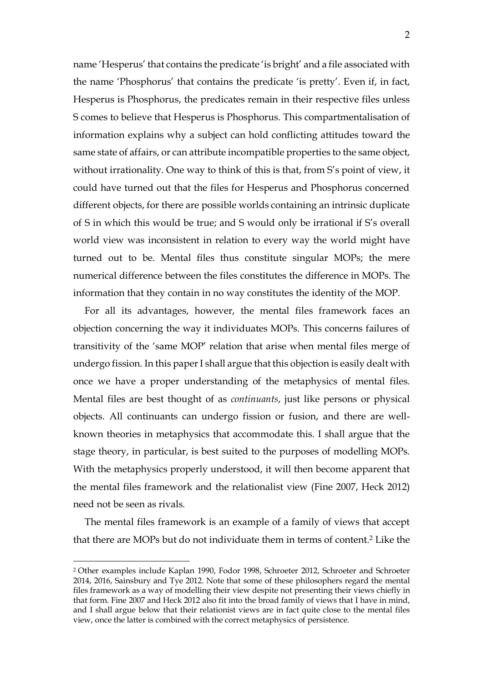name 'Hesperus' that contains the predicate 'is bright' and a file associated with the name 'Phosphorus' that contains the predicate 'is pretty'. Even if, in fact, Hesperus is Phosphorus, the predicates remain in their respective files unless S comes to believe that Hesperus is Phosphorus. This compartmentalisation of information explains why a subject can hold conflicting attitudes toward the same state of affairs, or can attribute incompatible properties to the same object, without irrationality. One way to think of this is that, from S's point of view, it could have turned out that the files for Hesperus and Phosphorus concerned different objects, for there are possible worlds containing an intrinsic duplicate of S in which this would be true; and S would only be irrational if S's overall world view was inconsistent in relation to every way the world might have turned out to be. Mental files thus constitute singular MOPs; the mere numerical difference between the files constitutes the difference in MOPs. The information that they contain in no way constitutes the identity of the MOP.

For all its advantages, however, the mental files framework faces an objection concerning the way it individuates MOPs. This concerns failures of transitivity of the 'same MOP' relation that arise when mental files merge of undergo fission. In this paper I shall argue that this objection is easily dealt with once we have a proper understanding of the metaphysics of mental files. Mental files are best thought of as *continuants*, just like persons or physical objects. All continuants can undergo fission or fusion, and there are wellknown theories in metaphysics that accommodate this. I shall argue that the stage theory, in particular, is best suited to the purposes of modelling MOPs. With the metaphysics properly understood, it will then become apparent that the mental files framework and the relationalist view (Fine 2007, Heck 2012) need not be seen as rivals.

The mental files framework is an example of a family of views that accept that there are MOPs but do not individuate them in terms of content.2 Like the

 <sup>2</sup> Other examples include Kaplan 1990, Fodor 1998, Schroeter 2012, Schroeter and Schroeter 2014, 2016, Sainsbury and Tye 2012. Note that some of these philosophers regard the mental files framework as a way of modelling their view despite not presenting their views chiefly in that form. Fine 2007 and Heck 2012 also fit into the broad family of views that I have in mind, and I shall argue below that their relationist views are in fact quite close to the mental files view, once the latter is combined with the correct metaphysics of persistence.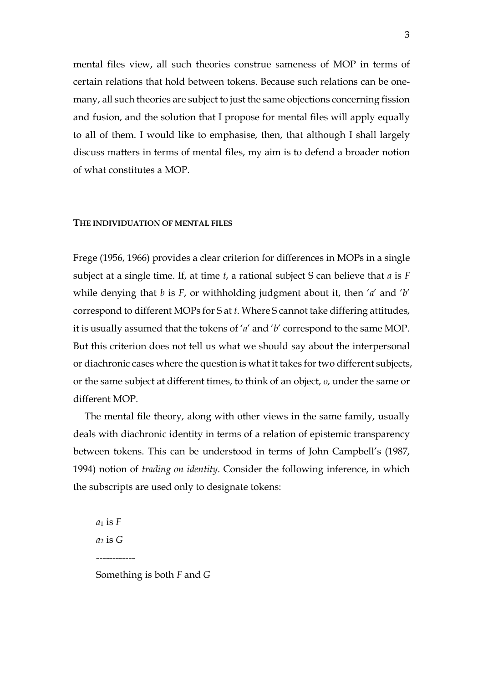mental files view, all such theories construe sameness of MOP in terms of certain relations that hold between tokens. Because such relations can be onemany, all such theories are subject to just the same objections concerning fission and fusion, and the solution that I propose for mental files will apply equally to all of them. I would like to emphasise, then, that although I shall largely discuss matters in terms of mental files, my aim is to defend a broader notion of what constitutes a MOP.

#### **THE INDIVIDUATION OF MENTAL FILES**

Frege (1956, 1966) provides a clear criterion for differences in MOPs in a single subject at a single time. If, at time *t*, a rational subject S can believe that *a* is *F* while denying that *b* is *F*, or withholding judgment about it, then '*a*' and '*b*' correspond to different MOPs for S at *t*. Where S cannot take differing attitudes, it is usually assumed that the tokens of '*a*' and '*b*' correspond to the same MOP. But this criterion does not tell us what we should say about the interpersonal or diachronic cases where the question is what it takes for two different subjects, or the same subject at different times, to think of an object, *o*, under the same or different MOP.

The mental file theory, along with other views in the same family, usually deals with diachronic identity in terms of a relation of epistemic transparency between tokens. This can be understood in terms of John Campbell's (1987, 1994) notion of *trading on identity*. Consider the following inference, in which the subscripts are used only to designate tokens:

 $a_1$  is  $F$  $a_2$  is  $G$ ------------ Something is both *F* and *G*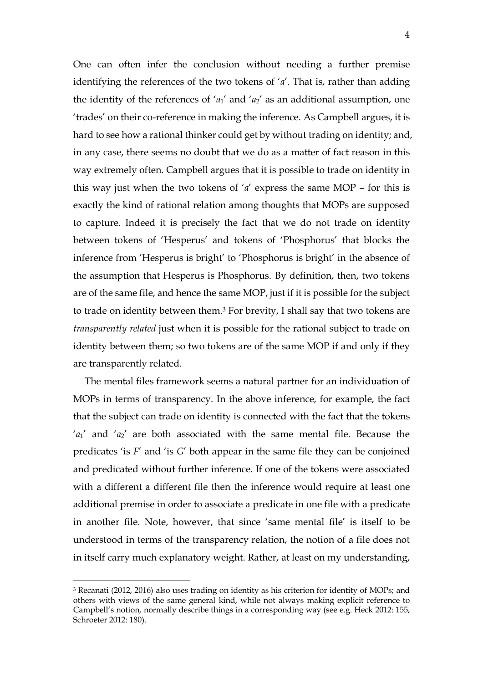One can often infer the conclusion without needing a further premise identifying the references of the two tokens of '*a*'. That is, rather than adding the identity of the references of ' $a_1$ ' and ' $a_2$ ' as an additional assumption, one 'trades' on their co-reference in making the inference. As Campbell argues, it is hard to see how a rational thinker could get by without trading on identity; and, in any case, there seems no doubt that we do as a matter of fact reason in this way extremely often. Campbell argues that it is possible to trade on identity in this way just when the two tokens of '*a*' express the same MOP – for this is exactly the kind of rational relation among thoughts that MOPs are supposed to capture. Indeed it is precisely the fact that we do not trade on identity between tokens of 'Hesperus' and tokens of 'Phosphorus' that blocks the inference from 'Hesperus is bright' to 'Phosphorus is bright' in the absence of the assumption that Hesperus is Phosphorus. By definition, then, two tokens are of the same file, and hence the same MOP, just if it is possible for the subject to trade on identity between them.3 For brevity, I shall say that two tokens are *transparently related* just when it is possible for the rational subject to trade on identity between them; so two tokens are of the same MOP if and only if they are transparently related.

The mental files framework seems a natural partner for an individuation of MOPs in terms of transparency. In the above inference, for example, the fact that the subject can trade on identity is connected with the fact that the tokens '*a*<sup>1</sup> and '*a*<sup>2</sup> are both associated with the same mental file. Because the predicates 'is *F*' and 'is *G*' both appear in the same file they can be conjoined and predicated without further inference. If one of the tokens were associated with a different a different file then the inference would require at least one additional premise in order to associate a predicate in one file with a predicate in another file. Note, however, that since 'same mental file' is itself to be understood in terms of the transparency relation, the notion of a file does not in itself carry much explanatory weight. Rather, at least on my understanding,

 <sup>3</sup> Recanati (2012, 2016) also uses trading on identity as his criterion for identity of MOPs; and others with views of the same general kind, while not always making explicit reference to Campbell's notion, normally describe things in a corresponding way (see e.g. Heck 2012: 155, Schroeter 2012: 180).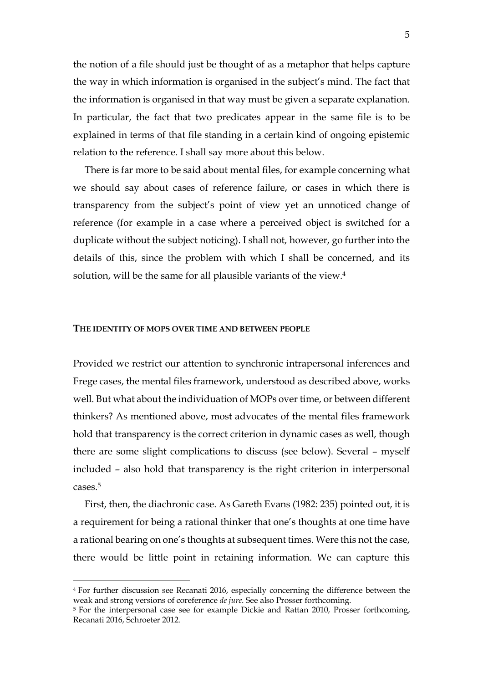the notion of a file should just be thought of as a metaphor that helps capture the way in which information is organised in the subject's mind. The fact that the information is organised in that way must be given a separate explanation. In particular, the fact that two predicates appear in the same file is to be explained in terms of that file standing in a certain kind of ongoing epistemic relation to the reference. I shall say more about this below.

There is far more to be said about mental files, for example concerning what we should say about cases of reference failure, or cases in which there is transparency from the subject's point of view yet an unnoticed change of reference (for example in a case where a perceived object is switched for a duplicate without the subject noticing). I shall not, however, go further into the details of this, since the problem with which I shall be concerned, and its solution, will be the same for all plausible variants of the view.4

#### **THE IDENTITY OF MOPS OVER TIME AND BETWEEN PEOPLE**

Provided we restrict our attention to synchronic intrapersonal inferences and Frege cases, the mental files framework, understood as described above, works well. But what about the individuation of MOPs over time, or between different thinkers? As mentioned above, most advocates of the mental files framework hold that transparency is the correct criterion in dynamic cases as well, though there are some slight complications to discuss (see below). Several – myself included – also hold that transparency is the right criterion in interpersonal cases.5

First, then, the diachronic case. As Gareth Evans (1982: 235) pointed out, it is a requirement for being a rational thinker that one's thoughts at one time have a rational bearing on one's thoughts at subsequent times. Were this not the case, there would be little point in retaining information. We can capture this

 <sup>4</sup> For further discussion see Recanati 2016, especially concerning the difference between the weak and strong versions of coreference *de jure*. See also Prosser forthcoming.

<sup>5</sup> For the interpersonal case see for example Dickie and Rattan 2010, Prosser forthcoming, Recanati 2016, Schroeter 2012.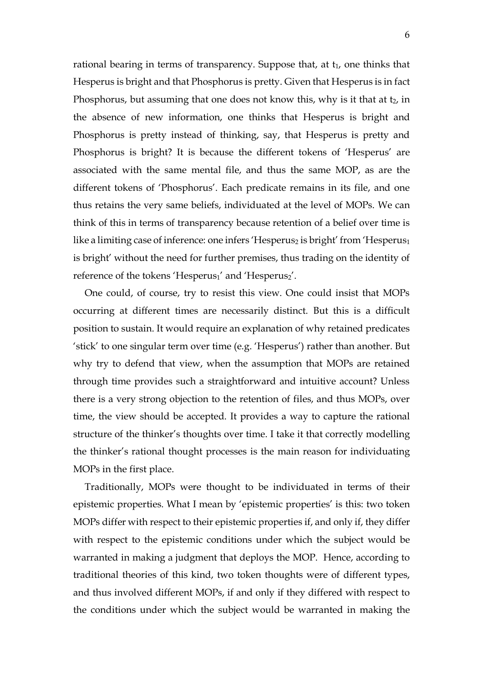rational bearing in terms of transparency. Suppose that, at  $t_1$ , one thinks that Hesperus is bright and that Phosphorus is pretty. Given that Hesperus is in fact Phosphorus, but assuming that one does not know this, why is it that at  $t_2$ , in the absence of new information, one thinks that Hesperus is bright and Phosphorus is pretty instead of thinking, say, that Hesperus is pretty and Phosphorus is bright? It is because the different tokens of 'Hesperus' are associated with the same mental file, and thus the same MOP, as are the different tokens of 'Phosphorus'. Each predicate remains in its file, and one thus retains the very same beliefs, individuated at the level of MOPs. We can think of this in terms of transparency because retention of a belief over time is like a limiting case of inference: one infers 'Hesperus<sub>2</sub> is bright' from 'Hesperus<sub>1</sub> is bright' without the need for further premises, thus trading on the identity of reference of the tokens 'Hesperus<sub>1</sub>' and 'Hesperus<sub>2</sub>'.

One could, of course, try to resist this view. One could insist that MOPs occurring at different times are necessarily distinct. But this is a difficult position to sustain. It would require an explanation of why retained predicates 'stick' to one singular term over time (e.g. 'Hesperus') rather than another. But why try to defend that view, when the assumption that MOPs are retained through time provides such a straightforward and intuitive account? Unless there is a very strong objection to the retention of files, and thus MOPs, over time, the view should be accepted. It provides a way to capture the rational structure of the thinker's thoughts over time. I take it that correctly modelling the thinker's rational thought processes is the main reason for individuating MOPs in the first place.

Traditionally, MOPs were thought to be individuated in terms of their epistemic properties. What I mean by 'epistemic properties' is this: two token MOPs differ with respect to their epistemic properties if, and only if, they differ with respect to the epistemic conditions under which the subject would be warranted in making a judgment that deploys the MOP. Hence, according to traditional theories of this kind, two token thoughts were of different types, and thus involved different MOPs, if and only if they differed with respect to the conditions under which the subject would be warranted in making the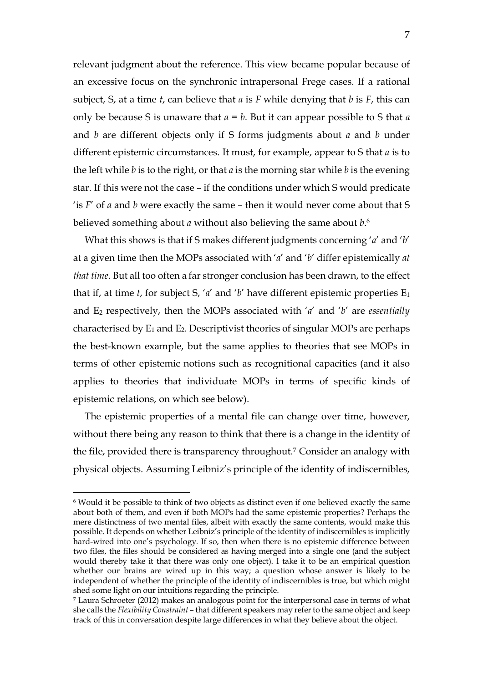relevant judgment about the reference. This view became popular because of an excessive focus on the synchronic intrapersonal Frege cases. If a rational subject, S, at a time *t*, can believe that *a* is *F* while denying that *b* is *F*, this can only be because S is unaware that *a* = *b*. But it can appear possible to S that *a* and *b* are different objects only if S forms judgments about *a* and *b* under different epistemic circumstances. It must, for example, appear to S that *a* is to the left while *b* is to the right, or that *a* is the morning star while *b* is the evening star. If this were not the case – if the conditions under which S would predicate 'is *F*' of *a* and *b* were exactly the same – then it would never come about that S believed something about *a* without also believing the same about *b*. 6

What this shows is that if S makes different judgments concerning '*a*' and '*b*' at a given time then the MOPs associated with '*a*' and '*b*' differ epistemically *at that time*. But all too often a far stronger conclusion has been drawn, to the effect that if, at time *t*, for subject *S*, '*a'* and '*b'* have different epistemic properties  $E_1$ and E2 respectively, then the MOPs associated with '*a*' and '*b*' are *essentially* characterised by  $E_1$  and  $E_2$ . Descriptivist theories of singular MOPs are perhaps the best-known example, but the same applies to theories that see MOPs in terms of other epistemic notions such as recognitional capacities (and it also applies to theories that individuate MOPs in terms of specific kinds of epistemic relations, on which see below).

The epistemic properties of a mental file can change over time, however, without there being any reason to think that there is a change in the identity of the file, provided there is transparency throughout. <sup>7</sup> Consider an analogy with physical objects. Assuming Leibniz's principle of the identity of indiscernibles,

 <sup>6</sup> Would it be possible to think of two objects as distinct even if one believed exactly the same about both of them, and even if both MOPs had the same epistemic properties? Perhaps the mere distinctness of two mental files, albeit with exactly the same contents, would make this possible. It depends on whether Leibniz's principle of the identity of indiscernibles is implicitly hard-wired into one's psychology. If so, then when there is no epistemic difference between two files, the files should be considered as having merged into a single one (and the subject would thereby take it that there was only one object). I take it to be an empirical question whether our brains are wired up in this way; a question whose answer is likely to be independent of whether the principle of the identity of indiscernibles is true, but which might shed some light on our intuitions regarding the principle.

<sup>7</sup> Laura Schroeter (2012) makes an analogous point for the interpersonal case in terms of what she calls the *Flexibility Constraint* – that different speakers may refer to the same object and keep track of this in conversation despite large differences in what they believe about the object.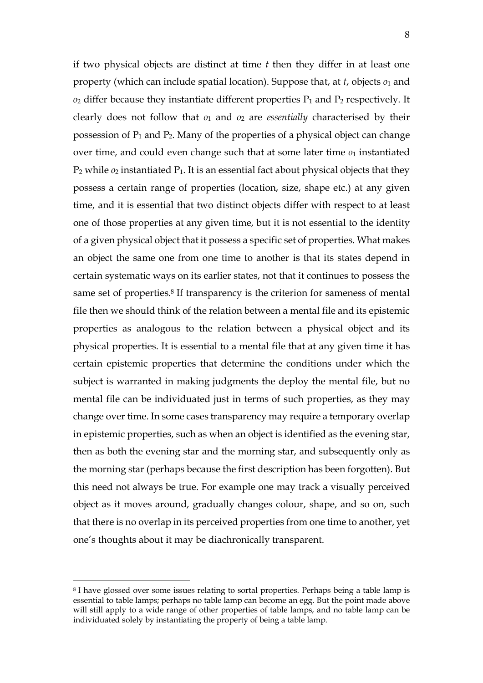if two physical objects are distinct at time *t* then they differ in at least one property (which can include spatial location). Suppose that, at *t*, objects *o*<sup>1</sup> and  $o_2$  differ because they instantiate different properties  $P_1$  and  $P_2$  respectively. It clearly does not follow that *o*<sup>1</sup> and *o*<sup>2</sup> are *essentially* characterised by their possession of  $P_1$  and  $P_2$ . Many of the properties of a physical object can change over time, and could even change such that at some later time *o*<sup>1</sup> instantiated P<sub>2</sub> while  $o_2$  instantiated P<sub>1</sub>. It is an essential fact about physical objects that they possess a certain range of properties (location, size, shape etc.) at any given time, and it is essential that two distinct objects differ with respect to at least one of those properties at any given time, but it is not essential to the identity of a given physical object that it possess a specific set of properties. What makes an object the same one from one time to another is that its states depend in certain systematic ways on its earlier states, not that it continues to possess the same set of properties.<sup>8</sup> If transparency is the criterion for sameness of mental file then we should think of the relation between a mental file and its epistemic properties as analogous to the relation between a physical object and its physical properties. It is essential to a mental file that at any given time it has certain epistemic properties that determine the conditions under which the subject is warranted in making judgments the deploy the mental file, but no mental file can be individuated just in terms of such properties, as they may change over time. In some cases transparency may require a temporary overlap in epistemic properties, such as when an object is identified as the evening star, then as both the evening star and the morning star, and subsequently only as the morning star (perhaps because the first description has been forgotten). But this need not always be true. For example one may track a visually perceived object as it moves around, gradually changes colour, shape, and so on, such that there is no overlap in its perceived properties from one time to another, yet one's thoughts about it may be diachronically transparent.

 <sup>8</sup> I have glossed over some issues relating to sortal properties. Perhaps being a table lamp is essential to table lamps; perhaps no table lamp can become an egg. But the point made above will still apply to a wide range of other properties of table lamps, and no table lamp can be individuated solely by instantiating the property of being a table lamp.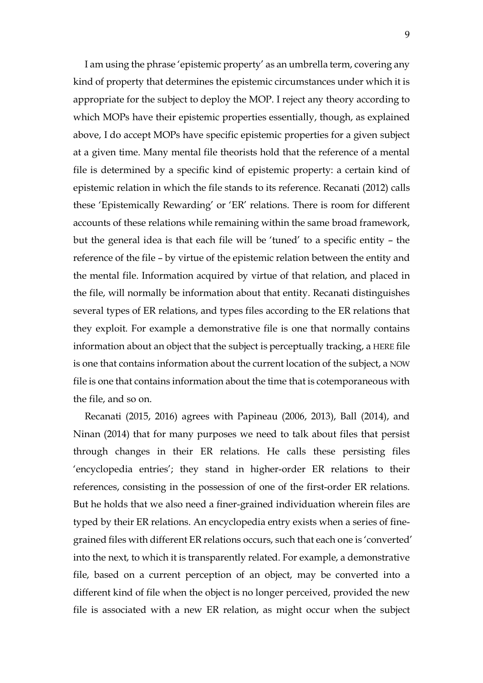I am using the phrase 'epistemic property' as an umbrella term, covering any kind of property that determines the epistemic circumstances under which it is appropriate for the subject to deploy the MOP. I reject any theory according to which MOPs have their epistemic properties essentially, though, as explained above, I do accept MOPs have specific epistemic properties for a given subject at a given time. Many mental file theorists hold that the reference of a mental file is determined by a specific kind of epistemic property: a certain kind of epistemic relation in which the file stands to its reference. Recanati (2012) calls these 'Epistemically Rewarding' or 'ER' relations. There is room for different accounts of these relations while remaining within the same broad framework, but the general idea is that each file will be 'tuned' to a specific entity – the reference of the file – by virtue of the epistemic relation between the entity and the mental file. Information acquired by virtue of that relation, and placed in the file, will normally be information about that entity. Recanati distinguishes several types of ER relations, and types files according to the ER relations that they exploit. For example a demonstrative file is one that normally contains information about an object that the subject is perceptually tracking, a HERE file is one that contains information about the current location of the subject, a NOW file is one that contains information about the time that is cotemporaneous with the file, and so on.

Recanati (2015, 2016) agrees with Papineau (2006, 2013), Ball (2014), and Ninan (2014) that for many purposes we need to talk about files that persist through changes in their ER relations. He calls these persisting files 'encyclopedia entries'; they stand in higher-order ER relations to their references, consisting in the possession of one of the first-order ER relations. But he holds that we also need a finer-grained individuation wherein files are typed by their ER relations. An encyclopedia entry exists when a series of finegrained files with different ER relations occurs, such that each one is 'converted' into the next, to which it is transparently related. For example, a demonstrative file, based on a current perception of an object, may be converted into a different kind of file when the object is no longer perceived, provided the new file is associated with a new ER relation, as might occur when the subject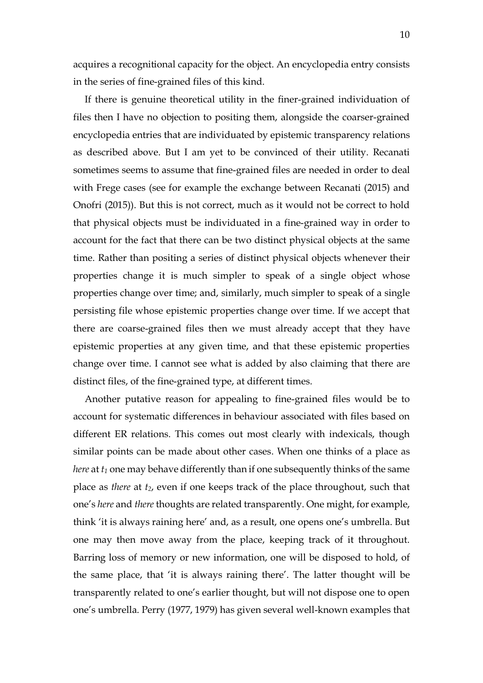acquires a recognitional capacity for the object. An encyclopedia entry consists in the series of fine-grained files of this kind.

If there is genuine theoretical utility in the finer-grained individuation of files then I have no objection to positing them, alongside the coarser-grained encyclopedia entries that are individuated by epistemic transparency relations as described above. But I am yet to be convinced of their utility. Recanati sometimes seems to assume that fine-grained files are needed in order to deal with Frege cases (see for example the exchange between Recanati (2015) and Onofri (2015)). But this is not correct, much as it would not be correct to hold that physical objects must be individuated in a fine-grained way in order to account for the fact that there can be two distinct physical objects at the same time. Rather than positing a series of distinct physical objects whenever their properties change it is much simpler to speak of a single object whose properties change over time; and, similarly, much simpler to speak of a single persisting file whose epistemic properties change over time. If we accept that there are coarse-grained files then we must already accept that they have epistemic properties at any given time, and that these epistemic properties change over time. I cannot see what is added by also claiming that there are distinct files, of the fine-grained type, at different times.

Another putative reason for appealing to fine-grained files would be to account for systematic differences in behaviour associated with files based on different ER relations. This comes out most clearly with indexicals, though similar points can be made about other cases. When one thinks of a place as *here* at  $t_1$  one may behave differently than if one subsequently thinks of the same place as *there* at *t2*, even if one keeps track of the place throughout, such that one's *here* and *there* thoughts are related transparently. One might, for example, think 'it is always raining here' and, as a result, one opens one's umbrella. But one may then move away from the place, keeping track of it throughout. Barring loss of memory or new information, one will be disposed to hold, of the same place, that 'it is always raining there'. The latter thought will be transparently related to one's earlier thought, but will not dispose one to open one's umbrella. Perry (1977, 1979) has given several well-known examples that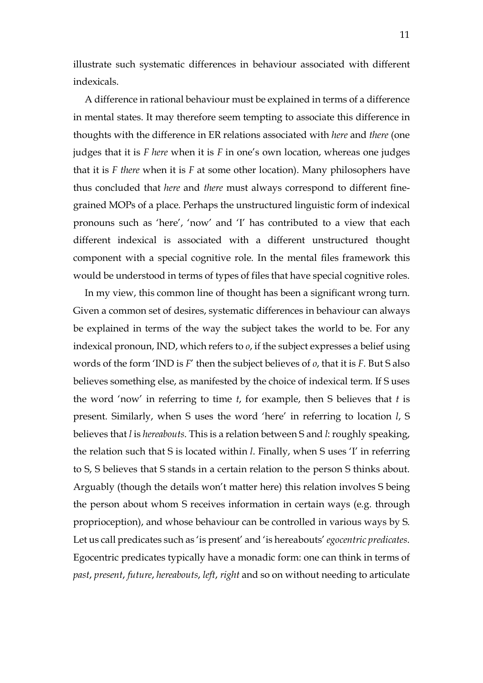illustrate such systematic differences in behaviour associated with different indexicals.

A difference in rational behaviour must be explained in terms of a difference in mental states. It may therefore seem tempting to associate this difference in thoughts with the difference in ER relations associated with *here* and *there* (one judges that it is *F here* when it is *F* in one's own location, whereas one judges that it is *F there* when it is *F* at some other location). Many philosophers have thus concluded that *here* and *there* must always correspond to different finegrained MOPs of a place. Perhaps the unstructured linguistic form of indexical pronouns such as 'here', 'now' and 'I' has contributed to a view that each different indexical is associated with a different unstructured thought component with a special cognitive role. In the mental files framework this would be understood in terms of types of files that have special cognitive roles.

In my view, this common line of thought has been a significant wrong turn. Given a common set of desires, systematic differences in behaviour can always be explained in terms of the way the subject takes the world to be. For any indexical pronoun, IND, which refers to *o*, if the subject expresses a belief using words of the form 'IND is *F*' then the subject believes of *o*, that it is *F*. But S also believes something else, as manifested by the choice of indexical term. If S uses the word 'now' in referring to time *t*, for example, then S believes that *t* is present. Similarly, when S uses the word 'here' in referring to location *l*, S believes that *l* is *hereabouts*. This is a relation between S and *l*: roughly speaking, the relation such that S is located within *l*. Finally, when S uses 'I' in referring to S, S believes that S stands in a certain relation to the person S thinks about. Arguably (though the details won't matter here) this relation involves S being the person about whom S receives information in certain ways (e.g. through proprioception), and whose behaviour can be controlled in various ways by S. Let us call predicates such as 'is present' and 'is hereabouts' *egocentric predicates*. Egocentric predicates typically have a monadic form: one can think in terms of *past*, *present*, *future*, *hereabouts*, *left*, *right* and so on without needing to articulate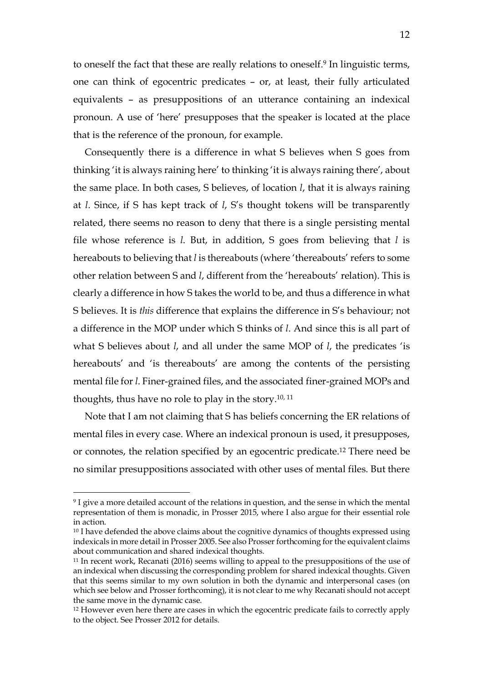to oneself the fact that these are really relations to oneself.9 In linguistic terms, one can think of egocentric predicates – or, at least, their fully articulated equivalents – as presuppositions of an utterance containing an indexical pronoun. A use of 'here' presupposes that the speaker is located at the place that is the reference of the pronoun, for example.

Consequently there is a difference in what S believes when S goes from thinking 'it is always raining here' to thinking 'it is always raining there', about the same place. In both cases, S believes, of location *l*, that it is always raining at *l*. Since, if S has kept track of *l*, S's thought tokens will be transparently related, there seems no reason to deny that there is a single persisting mental file whose reference is *l*. But, in addition, S goes from believing that *l* is hereabouts to believing that *l* is thereabouts (where 'thereabouts' refers to some other relation between S and *l*, different from the 'hereabouts' relation). This is clearly a difference in how S takes the world to be, and thus a difference in what S believes. It is *this* difference that explains the difference in S's behaviour; not a difference in the MOP under which S thinks of *l*. And since this is all part of what S believes about *l*, and all under the same MOP of *l*, the predicates 'is hereabouts' and 'is thereabouts' are among the contents of the persisting mental file for *l*. Finer-grained files, and the associated finer-grained MOPs and thoughts, thus have no role to play in the story.<sup>10, 11</sup>

Note that I am not claiming that S has beliefs concerning the ER relations of mental files in every case. Where an indexical pronoun is used, it presupposes, or connotes, the relation specified by an egocentric predicate.12 There need be no similar presuppositions associated with other uses of mental files. But there

 <sup>9</sup> I give a more detailed account of the relations in question, and the sense in which the mental representation of them is monadic, in Prosser 2015, where I also argue for their essential role in action.

<sup>&</sup>lt;sup>10</sup> I have defended the above claims about the cognitive dynamics of thoughts expressed using indexicals in more detail in Prosser 2005. See also Prosser forthcoming for the equivalent claims about communication and shared indexical thoughts.

<sup>&</sup>lt;sup>11</sup> In recent work, Recanati (2016) seems willing to appeal to the presuppositions of the use of an indexical when discussing the corresponding problem for shared indexical thoughts. Given that this seems similar to my own solution in both the dynamic and interpersonal cases (on which see below and Prosser forthcoming), it is not clear to me why Recanati should not accept the same move in the dynamic case.

<sup>&</sup>lt;sup>12</sup> However even here there are cases in which the egocentric predicate fails to correctly apply to the object. See Prosser 2012 for details.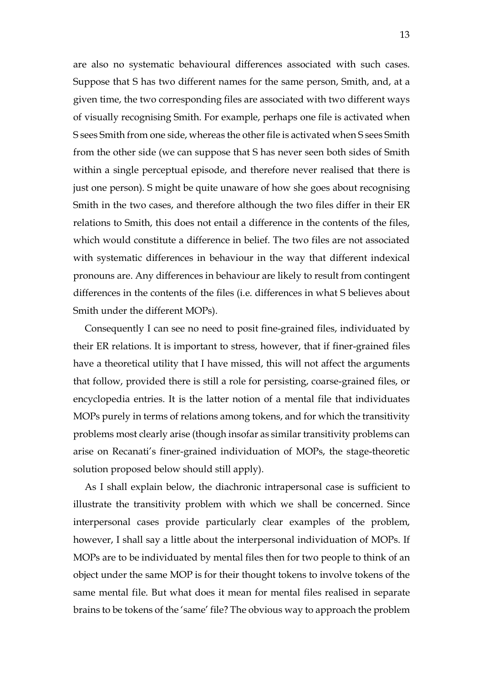are also no systematic behavioural differences associated with such cases. Suppose that S has two different names for the same person, Smith, and, at a given time, the two corresponding files are associated with two different ways of visually recognising Smith. For example, perhaps one file is activated when S sees Smith from one side, whereas the other file is activated when S sees Smith from the other side (we can suppose that S has never seen both sides of Smith within a single perceptual episode, and therefore never realised that there is just one person). S might be quite unaware of how she goes about recognising Smith in the two cases, and therefore although the two files differ in their ER relations to Smith, this does not entail a difference in the contents of the files, which would constitute a difference in belief. The two files are not associated with systematic differences in behaviour in the way that different indexical pronouns are. Any differences in behaviour are likely to result from contingent differences in the contents of the files (i.e. differences in what S believes about Smith under the different MOPs).

Consequently I can see no need to posit fine-grained files, individuated by their ER relations. It is important to stress, however, that if finer-grained files have a theoretical utility that I have missed, this will not affect the arguments that follow, provided there is still a role for persisting, coarse-grained files, or encyclopedia entries. It is the latter notion of a mental file that individuates MOPs purely in terms of relations among tokens, and for which the transitivity problems most clearly arise (though insofar as similar transitivity problems can arise on Recanati's finer-grained individuation of MOPs, the stage-theoretic solution proposed below should still apply).

As I shall explain below, the diachronic intrapersonal case is sufficient to illustrate the transitivity problem with which we shall be concerned. Since interpersonal cases provide particularly clear examples of the problem, however, I shall say a little about the interpersonal individuation of MOPs. If MOPs are to be individuated by mental files then for two people to think of an object under the same MOP is for their thought tokens to involve tokens of the same mental file. But what does it mean for mental files realised in separate brains to be tokens of the 'same' file? The obvious way to approach the problem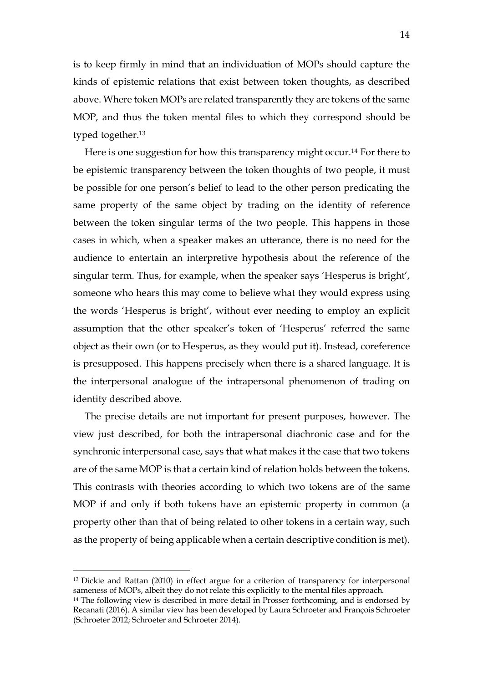is to keep firmly in mind that an individuation of MOPs should capture the kinds of epistemic relations that exist between token thoughts, as described above. Where token MOPs are related transparently they are tokens of the same MOP, and thus the token mental files to which they correspond should be typed together.<sup>13</sup>

Here is one suggestion for how this transparency might occur.<sup>14</sup> For there to be epistemic transparency between the token thoughts of two people, it must be possible for one person's belief to lead to the other person predicating the same property of the same object by trading on the identity of reference between the token singular terms of the two people. This happens in those cases in which, when a speaker makes an utterance, there is no need for the audience to entertain an interpretive hypothesis about the reference of the singular term. Thus, for example, when the speaker says 'Hesperus is bright', someone who hears this may come to believe what they would express using the words 'Hesperus is bright', without ever needing to employ an explicit assumption that the other speaker's token of 'Hesperus' referred the same object as their own (or to Hesperus, as they would put it). Instead, coreference is presupposed. This happens precisely when there is a shared language. It is the interpersonal analogue of the intrapersonal phenomenon of trading on identity described above.

The precise details are not important for present purposes, however. The view just described, for both the intrapersonal diachronic case and for the synchronic interpersonal case, says that what makes it the case that two tokens are of the same MOP is that a certain kind of relation holds between the tokens. This contrasts with theories according to which two tokens are of the same MOP if and only if both tokens have an epistemic property in common (a property other than that of being related to other tokens in a certain way, such as the property of being applicable when a certain descriptive condition is met).

 <sup>13</sup> Dickie and Rattan (2010) in effect argue for a criterion of transparency for interpersonal sameness of MOPs, albeit they do not relate this explicitly to the mental files approach.

 $14$  The following view is described in more detail in Prosser forthcoming, and is endorsed by Recanati (2016). A similar view has been developed by Laura Schroeter and François Schroeter (Schroeter 2012; Schroeter and Schroeter 2014).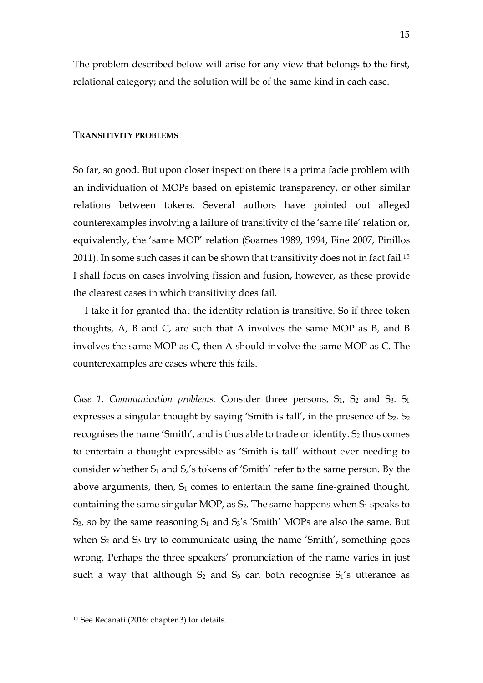The problem described below will arise for any view that belongs to the first, relational category; and the solution will be of the same kind in each case.

#### **TRANSITIVITY PROBLEMS**

So far, so good. But upon closer inspection there is a prima facie problem with an individuation of MOPs based on epistemic transparency, or other similar relations between tokens. Several authors have pointed out alleged counterexamples involving a failure of transitivity of the 'same file' relation or, equivalently, the 'same MOP' relation (Soames 1989, 1994, Fine 2007, Pinillos 2011). In some such cases it can be shown that transitivity does not in fact fail.15 I shall focus on cases involving fission and fusion, however, as these provide the clearest cases in which transitivity does fail.

I take it for granted that the identity relation is transitive. So if three token thoughts, A, B and C, are such that A involves the same MOP as B, and B involves the same MOP as C, then A should involve the same MOP as C. The counterexamples are cases where this fails.

*Case* 1. Communication problems. Consider three persons, S<sub>1</sub>, S<sub>2</sub> and S<sub>3</sub>. S<sub>1</sub> expresses a singular thought by saying 'Smith is tall', in the presence of  $S_2$ .  $S_2$ recognises the name 'Smith', and is thus able to trade on identity.  $S_2$  thus comes to entertain a thought expressible as 'Smith is tall' without ever needing to consider whether  $S_1$  and  $S_2$ 's tokens of 'Smith' refer to the same person. By the above arguments, then,  $S_1$  comes to entertain the same fine-grained thought, containing the same singular MOP, as  $S_2$ . The same happens when  $S_1$  speaks to  $S_3$ , so by the same reasoning  $S_1$  and  $S_3$ 's 'Smith' MOPs are also the same. But when  $S_2$  and  $S_3$  try to communicate using the name 'Smith', something goes wrong. Perhaps the three speakers' pronunciation of the name varies in just such a way that although  $S_2$  and  $S_3$  can both recognise  $S_1$ 's utterance as

 <sup>15</sup> See Recanati (2016: chapter 3) for details.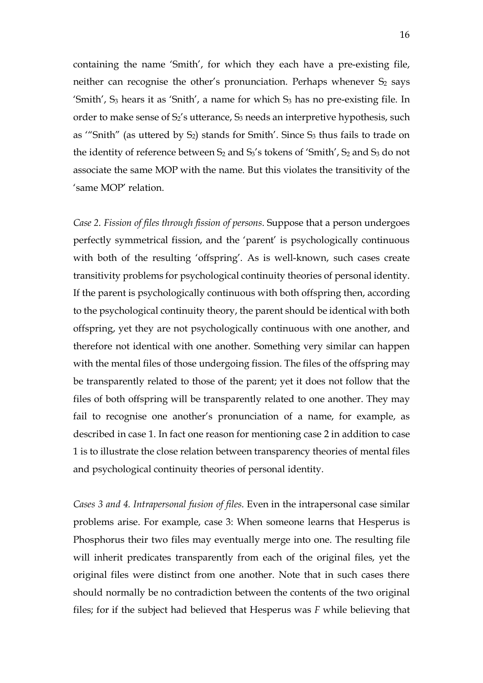containing the name 'Smith', for which they each have a pre-existing file, neither can recognise the other's pronunciation. Perhaps whenever  $S_2$  says 'Smith',  $S_3$  hears it as 'Snith', a name for which  $S_3$  has no pre-existing file. In order to make sense of  $S_2$ 's utterance,  $S_3$  needs an interpretive hypothesis, such as "Snith" (as uttered by  $S_2$ ) stands for Smith'. Since  $S_3$  thus fails to trade on the identity of reference between  $S_2$  and  $S_3$ 's tokens of 'Smith',  $S_2$  and  $S_3$  do not associate the same MOP with the name. But this violates the transitivity of the 'same MOP' relation.

*Case 2. Fission of files through fission of persons*. Suppose that a person undergoes perfectly symmetrical fission, and the 'parent' is psychologically continuous with both of the resulting 'offspring'. As is well-known, such cases create transitivity problems for psychological continuity theories of personal identity. If the parent is psychologically continuous with both offspring then, according to the psychological continuity theory, the parent should be identical with both offspring, yet they are not psychologically continuous with one another, and therefore not identical with one another. Something very similar can happen with the mental files of those undergoing fission. The files of the offspring may be transparently related to those of the parent; yet it does not follow that the files of both offspring will be transparently related to one another. They may fail to recognise one another's pronunciation of a name, for example, as described in case 1. In fact one reason for mentioning case 2 in addition to case 1 is to illustrate the close relation between transparency theories of mental files and psychological continuity theories of personal identity.

*Cases 3 and 4. Intrapersonal fusion of files*. Even in the intrapersonal case similar problems arise. For example, case 3: When someone learns that Hesperus is Phosphorus their two files may eventually merge into one. The resulting file will inherit predicates transparently from each of the original files, yet the original files were distinct from one another. Note that in such cases there should normally be no contradiction between the contents of the two original files; for if the subject had believed that Hesperus was *F* while believing that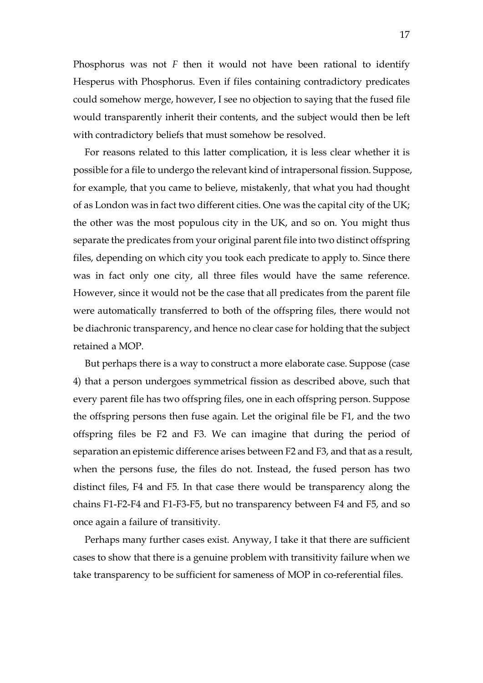Phosphorus was not *F* then it would not have been rational to identify Hesperus with Phosphorus. Even if files containing contradictory predicates could somehow merge, however, I see no objection to saying that the fused file would transparently inherit their contents, and the subject would then be left with contradictory beliefs that must somehow be resolved.

For reasons related to this latter complication, it is less clear whether it is possible for a file to undergo the relevant kind of intrapersonal fission. Suppose, for example, that you came to believe, mistakenly, that what you had thought of as London was in fact two different cities. One was the capital city of the UK; the other was the most populous city in the UK, and so on. You might thus separate the predicates from your original parent file into two distinct offspring files, depending on which city you took each predicate to apply to. Since there was in fact only one city, all three files would have the same reference. However, since it would not be the case that all predicates from the parent file were automatically transferred to both of the offspring files, there would not be diachronic transparency, and hence no clear case for holding that the subject retained a MOP.

But perhaps there is a way to construct a more elaborate case. Suppose (case 4) that a person undergoes symmetrical fission as described above, such that every parent file has two offspring files, one in each offspring person. Suppose the offspring persons then fuse again. Let the original file be F1, and the two offspring files be F2 and F3. We can imagine that during the period of separation an epistemic difference arises between F2 and F3, and that as a result, when the persons fuse, the files do not. Instead, the fused person has two distinct files, F4 and F5. In that case there would be transparency along the chains F1-F2-F4 and F1-F3-F5, but no transparency between F4 and F5, and so once again a failure of transitivity.

Perhaps many further cases exist. Anyway, I take it that there are sufficient cases to show that there is a genuine problem with transitivity failure when we take transparency to be sufficient for sameness of MOP in co-referential files.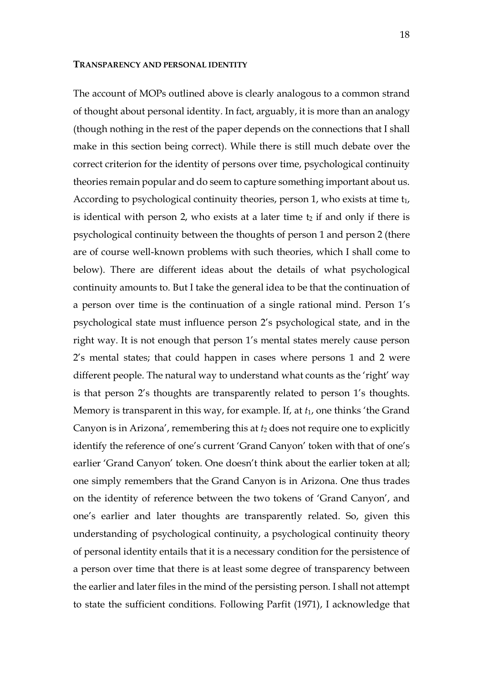#### **TRANSPARENCY AND PERSONAL IDENTITY**

The account of MOPs outlined above is clearly analogous to a common strand of thought about personal identity. In fact, arguably, it is more than an analogy (though nothing in the rest of the paper depends on the connections that I shall make in this section being correct). While there is still much debate over the correct criterion for the identity of persons over time, psychological continuity theories remain popular and do seem to capture something important about us. According to psychological continuity theories, person 1, who exists at time  $t_1$ , is identical with person 2, who exists at a later time  $t_2$  if and only if there is psychological continuity between the thoughts of person 1 and person 2 (there are of course well-known problems with such theories, which I shall come to below). There are different ideas about the details of what psychological continuity amounts to. But I take the general idea to be that the continuation of a person over time is the continuation of a single rational mind. Person 1's psychological state must influence person 2's psychological state, and in the right way. It is not enough that person 1's mental states merely cause person 2's mental states; that could happen in cases where persons 1 and 2 were different people. The natural way to understand what counts as the 'right' way is that person 2's thoughts are transparently related to person 1's thoughts. Memory is transparent in this way, for example. If, at *t*1, one thinks 'the Grand Canyon is in Arizona', remembering this at *t*<sup>2</sup> does not require one to explicitly identify the reference of one's current 'Grand Canyon' token with that of one's earlier 'Grand Canyon' token. One doesn't think about the earlier token at all; one simply remembers that the Grand Canyon is in Arizona. One thus trades on the identity of reference between the two tokens of 'Grand Canyon', and one's earlier and later thoughts are transparently related. So, given this understanding of psychological continuity, a psychological continuity theory of personal identity entails that it is a necessary condition for the persistence of a person over time that there is at least some degree of transparency between the earlier and later files in the mind of the persisting person. I shall not attempt to state the sufficient conditions. Following Parfit (1971), I acknowledge that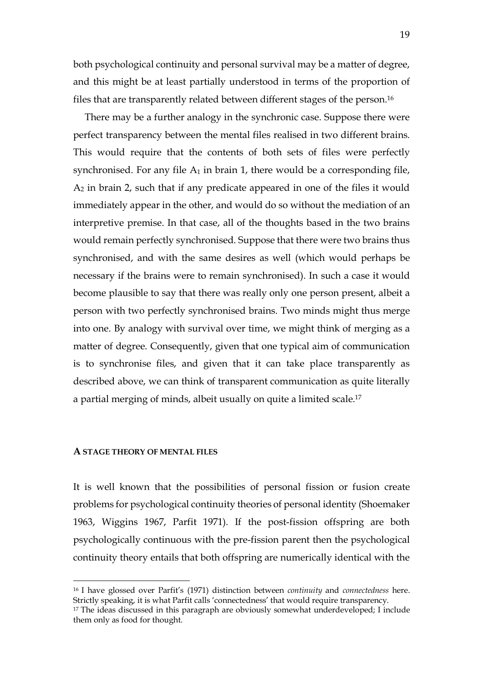both psychological continuity and personal survival may be a matter of degree, and this might be at least partially understood in terms of the proportion of files that are transparently related between different stages of the person.<sup>16</sup>

There may be a further analogy in the synchronic case. Suppose there were perfect transparency between the mental files realised in two different brains. This would require that the contents of both sets of files were perfectly synchronised. For any file  $A_1$  in brain 1, there would be a corresponding file, A2 in brain 2, such that if any predicate appeared in one of the files it would immediately appear in the other, and would do so without the mediation of an interpretive premise. In that case, all of the thoughts based in the two brains would remain perfectly synchronised. Suppose that there were two brains thus synchronised, and with the same desires as well (which would perhaps be necessary if the brains were to remain synchronised). In such a case it would become plausible to say that there was really only one person present, albeit a person with two perfectly synchronised brains. Two minds might thus merge into one. By analogy with survival over time, we might think of merging as a matter of degree. Consequently, given that one typical aim of communication is to synchronise files, and given that it can take place transparently as described above, we can think of transparent communication as quite literally a partial merging of minds, albeit usually on quite a limited scale. 17

#### **A STAGE THEORY OF MENTAL FILES**

It is well known that the possibilities of personal fission or fusion create problems for psychological continuity theories of personal identity (Shoemaker 1963, Wiggins 1967, Parfit 1971). If the post-fission offspring are both psychologically continuous with the pre-fission parent then the psychological continuity theory entails that both offspring are numerically identical with the

 <sup>16</sup> I have glossed over Parfit's (1971) distinction between *continuity* and *connectedness* here. Strictly speaking, it is what Parfit calls 'connectedness' that would require transparency.

<sup>&</sup>lt;sup>17</sup> The ideas discussed in this paragraph are obviously somewhat underdeveloped; I include them only as food for thought.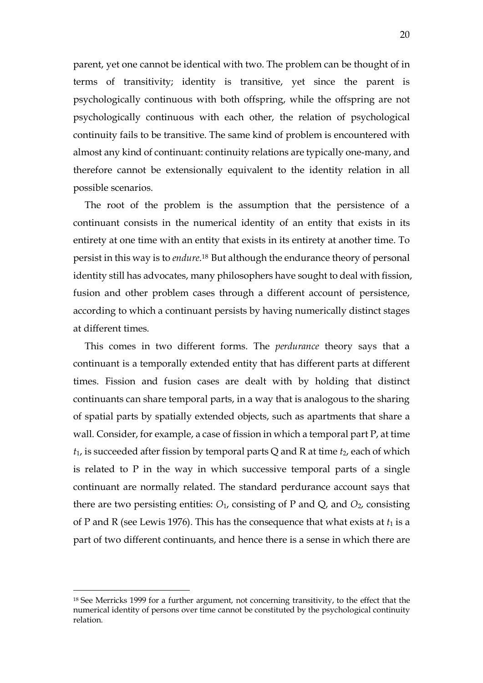parent, yet one cannot be identical with two. The problem can be thought of in terms of transitivity; identity is transitive, yet since the parent is psychologically continuous with both offspring, while the offspring are not psychologically continuous with each other, the relation of psychological continuity fails to be transitive. The same kind of problem is encountered with almost any kind of continuant: continuity relations are typically one-many, and therefore cannot be extensionally equivalent to the identity relation in all possible scenarios.

The root of the problem is the assumption that the persistence of a continuant consists in the numerical identity of an entity that exists in its entirety at one time with an entity that exists in its entirety at another time. To persist in this way is to *endure*. <sup>18</sup> But although the endurance theory of personal identity still has advocates, many philosophers have sought to deal with fission, fusion and other problem cases through a different account of persistence, according to which a continuant persists by having numerically distinct stages at different times.

This comes in two different forms. The *perdurance* theory says that a continuant is a temporally extended entity that has different parts at different times. Fission and fusion cases are dealt with by holding that distinct continuants can share temporal parts, in a way that is analogous to the sharing of spatial parts by spatially extended objects, such as apartments that share a wall. Consider, for example, a case of fission in which a temporal part P, at time *t*1, is succeeded after fission by temporal parts Q and R at time *t*2, each of which is related to P in the way in which successive temporal parts of a single continuant are normally related. The standard perdurance account says that there are two persisting entities:  $O<sub>1</sub>$ , consisting of P and  $Q<sub>1</sub>$ , and  $O<sub>2</sub>$ , consisting of P and R (see Lewis 1976). This has the consequence that what exists at  $t_1$  is a part of two different continuants, and hence there is a sense in which there are

 <sup>18</sup> See Merricks 1999 for a further argument, not concerning transitivity, to the effect that the numerical identity of persons over time cannot be constituted by the psychological continuity relation.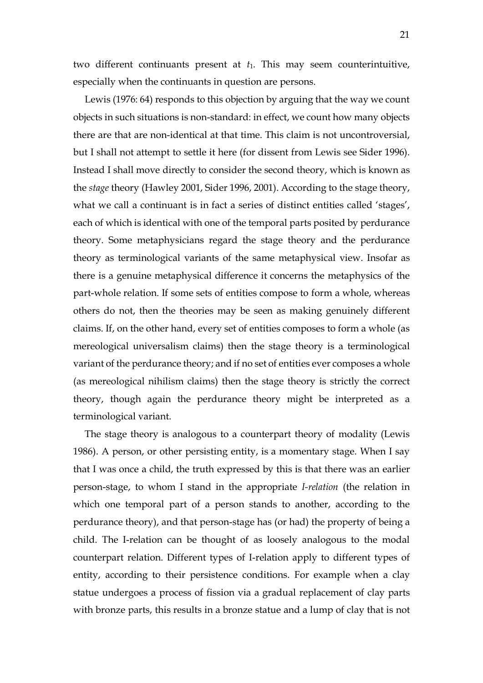two different continuants present at *t*1. This may seem counterintuitive, especially when the continuants in question are persons.

Lewis (1976: 64) responds to this objection by arguing that the way we count objects in such situations is non-standard: in effect, we count how many objects there are that are non-identical at that time. This claim is not uncontroversial, but I shall not attempt to settle it here (for dissent from Lewis see Sider 1996). Instead I shall move directly to consider the second theory, which is known as the *stage* theory (Hawley 2001, Sider 1996, 2001). According to the stage theory, what we call a continuant is in fact a series of distinct entities called 'stages', each of which is identical with one of the temporal parts posited by perdurance theory. Some metaphysicians regard the stage theory and the perdurance theory as terminological variants of the same metaphysical view. Insofar as there is a genuine metaphysical difference it concerns the metaphysics of the part-whole relation. If some sets of entities compose to form a whole, whereas others do not, then the theories may be seen as making genuinely different claims. If, on the other hand, every set of entities composes to form a whole (as mereological universalism claims) then the stage theory is a terminological variant of the perdurance theory; and if no set of entities ever composes a whole (as mereological nihilism claims) then the stage theory is strictly the correct theory, though again the perdurance theory might be interpreted as a terminological variant.

The stage theory is analogous to a counterpart theory of modality (Lewis 1986). A person, or other persisting entity, is a momentary stage. When I say that I was once a child, the truth expressed by this is that there was an earlier person-stage, to whom I stand in the appropriate *I-relation* (the relation in which one temporal part of a person stands to another, according to the perdurance theory), and that person-stage has (or had) the property of being a child. The I-relation can be thought of as loosely analogous to the modal counterpart relation. Different types of I-relation apply to different types of entity, according to their persistence conditions. For example when a clay statue undergoes a process of fission via a gradual replacement of clay parts with bronze parts, this results in a bronze statue and a lump of clay that is not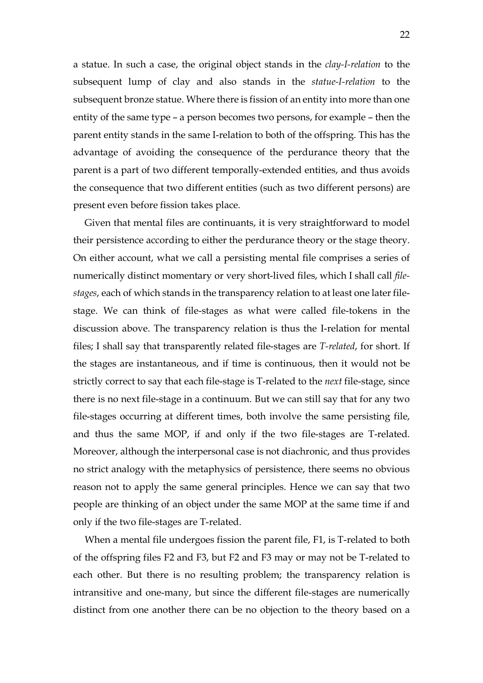a statue. In such a case, the original object stands in the *clay-I-relation* to the subsequent lump of clay and also stands in the *statue-I-relation* to the subsequent bronze statue. Where there is fission of an entity into more than one entity of the same type – a person becomes two persons, for example – then the parent entity stands in the same I-relation to both of the offspring. This has the advantage of avoiding the consequence of the perdurance theory that the parent is a part of two different temporally-extended entities, and thus avoids the consequence that two different entities (such as two different persons) are present even before fission takes place.

Given that mental files are continuants, it is very straightforward to model their persistence according to either the perdurance theory or the stage theory. On either account, what we call a persisting mental file comprises a series of numerically distinct momentary or very short-lived files, which I shall call *filestages*, each of which stands in the transparency relation to at least one later filestage. We can think of file-stages as what were called file-tokens in the discussion above. The transparency relation is thus the I-relation for mental files; I shall say that transparently related file-stages are *T-related*, for short. If the stages are instantaneous, and if time is continuous, then it would not be strictly correct to say that each file-stage is T-related to the *next* file-stage, since there is no next file-stage in a continuum. But we can still say that for any two file-stages occurring at different times, both involve the same persisting file, and thus the same MOP, if and only if the two file-stages are T-related. Moreover, although the interpersonal case is not diachronic, and thus provides no strict analogy with the metaphysics of persistence, there seems no obvious reason not to apply the same general principles. Hence we can say that two people are thinking of an object under the same MOP at the same time if and only if the two file-stages are T-related.

When a mental file undergoes fission the parent file, F1, is T-related to both of the offspring files F2 and F3, but F2 and F3 may or may not be T-related to each other. But there is no resulting problem; the transparency relation is intransitive and one-many, but since the different file-stages are numerically distinct from one another there can be no objection to the theory based on a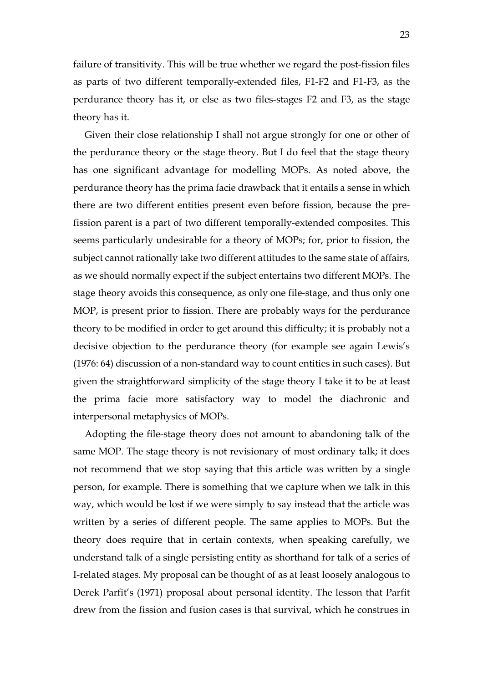failure of transitivity. This will be true whether we regard the post-fission files as parts of two different temporally-extended files, F1-F2 and F1-F3, as the perdurance theory has it, or else as two files-stages F2 and F3, as the stage theory has it.

Given their close relationship I shall not argue strongly for one or other of the perdurance theory or the stage theory. But I do feel that the stage theory has one significant advantage for modelling MOPs. As noted above, the perdurance theory has the prima facie drawback that it entails a sense in which there are two different entities present even before fission, because the prefission parent is a part of two different temporally-extended composites. This seems particularly undesirable for a theory of MOPs; for, prior to fission, the subject cannot rationally take two different attitudes to the same state of affairs, as we should normally expect if the subject entertains two different MOPs. The stage theory avoids this consequence, as only one file-stage, and thus only one MOP, is present prior to fission. There are probably ways for the perdurance theory to be modified in order to get around this difficulty; it is probably not a decisive objection to the perdurance theory (for example see again Lewis's (1976: 64) discussion of a non-standard way to count entities in such cases). But given the straightforward simplicity of the stage theory I take it to be at least the prima facie more satisfactory way to model the diachronic and interpersonal metaphysics of MOPs.

Adopting the file-stage theory does not amount to abandoning talk of the same MOP. The stage theory is not revisionary of most ordinary talk; it does not recommend that we stop saying that this article was written by a single person, for example. There is something that we capture when we talk in this way, which would be lost if we were simply to say instead that the article was written by a series of different people. The same applies to MOPs. But the theory does require that in certain contexts, when speaking carefully, we understand talk of a single persisting entity as shorthand for talk of a series of I-related stages. My proposal can be thought of as at least loosely analogous to Derek Parfit's (1971) proposal about personal identity. The lesson that Parfit drew from the fission and fusion cases is that survival, which he construes in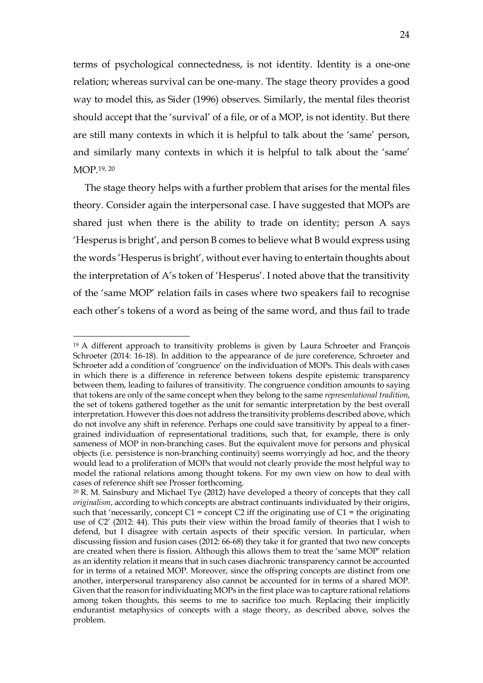terms of psychological connectedness, is not identity. Identity is a one-one relation; whereas survival can be one-many. The stage theory provides a good way to model this, as Sider (1996) observes. Similarly, the mental files theorist should accept that the 'survival' of a file, or of a MOP, is not identity. But there are still many contexts in which it is helpful to talk about the 'same' person, and similarly many contexts in which it is helpful to talk about the 'same' MOP.19, 20

The stage theory helps with a further problem that arises for the mental files theory. Consider again the interpersonal case. I have suggested that MOPs are shared just when there is the ability to trade on identity; person A says 'Hesperus is bright', and person B comes to believe what B would express using the words 'Hesperus is bright', without ever having to entertain thoughts about the interpretation of A's token of 'Hesperus'. I noted above that the transitivity of the 'same MOP' relation fails in cases where two speakers fail to recognise each other's tokens of a word as being of the same word, and thus fail to trade

<sup>&</sup>lt;sup>19</sup> A different approach to transitivity problems is given by Laura Schroeter and François Schroeter (2014: 16-18). In addition to the appearance of de jure coreference, Schroeter and Schroeter add a condition of 'congruence' on the individuation of MOPs. This deals with cases in which there is a difference in reference between tokens despite epistemic transparency between them, leading to failures of transitivity. The congruence condition amounts to saying that tokens are only of the same concept when they belong to the same *representational tradition*, the set of tokens gathered together as the unit for semantic interpretation by the best overall interpretation. However this does not address the transitivity problems described above, which do not involve any shift in reference. Perhaps one could save transitivity by appeal to a finergrained individuation of representational traditions, such that, for example, there is only sameness of MOP in non-branching cases. But the equivalent move for persons and physical objects (i.e. persistence is non-branching continuity) seems worryingly ad hoc, and the theory would lead to a proliferation of MOPs that would not clearly provide the most helpful way to model the rational relations among thought tokens. For my own view on how to deal with cases of reference shift see Prosser forthcoming.

<sup>20</sup> R. M. Sainsbury and Michael Tye (2012) have developed a theory of concepts that they call *originalism*, according to which concepts are abstract continuants individuated by their origins, such that 'necessarily, concept  $C1$  = concept  $C2$  iff the originating use of  $C1$  = the originating use of C2' (2012: 44). This puts their view within the broad family of theories that I wish to defend, but I disagree with certain aspects of their specific version. In particular, when discussing fission and fusion cases (2012: 66-68) they take it for granted that two new concepts are created when there is fission. Although this allows them to treat the 'same MOP' relation as an identity relation it means that in such cases diachronic transparency cannot be accounted for in terms of a retained MOP. Moreover, since the offspring concepts are distinct from one another, interpersonal transparency also cannot be accounted for in terms of a shared MOP. Given that the reason for individuating MOPs in the first place was to capture rational relations among token thoughts, this seems to me to sacrifice too much. Replacing their implicitly endurantist metaphysics of concepts with a stage theory, as described above, solves the problem.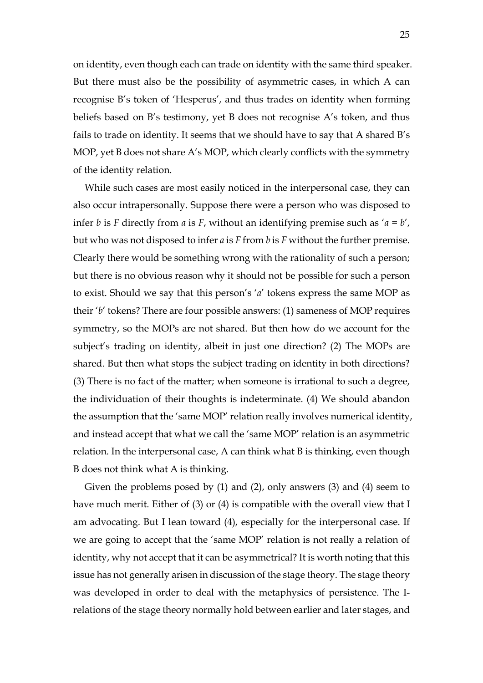on identity, even though each can trade on identity with the same third speaker. But there must also be the possibility of asymmetric cases, in which A can recognise B's token of 'Hesperus', and thus trades on identity when forming beliefs based on B's testimony, yet B does not recognise A's token, and thus fails to trade on identity. It seems that we should have to say that A shared B's MOP, yet B does not share A's MOP, which clearly conflicts with the symmetry of the identity relation.

While such cases are most easily noticed in the interpersonal case, they can also occur intrapersonally. Suppose there were a person who was disposed to infer *b* is *F* directly from *a* is *F*, without an identifying premise such as '*a* = *b*', but who was not disposed to infer *a* is *F* from *b* is *F* without the further premise. Clearly there would be something wrong with the rationality of such a person; but there is no obvious reason why it should not be possible for such a person to exist. Should we say that this person's '*a*' tokens express the same MOP as their '*b*' tokens? There are four possible answers: (1) sameness of MOP requires symmetry, so the MOPs are not shared. But then how do we account for the subject's trading on identity, albeit in just one direction? (2) The MOPs are shared. But then what stops the subject trading on identity in both directions? (3) There is no fact of the matter; when someone is irrational to such a degree, the individuation of their thoughts is indeterminate. (4) We should abandon the assumption that the 'same MOP' relation really involves numerical identity, and instead accept that what we call the 'same MOP' relation is an asymmetric relation. In the interpersonal case, A can think what B is thinking, even though B does not think what A is thinking.

Given the problems posed by (1) and (2), only answers (3) and (4) seem to have much merit. Either of (3) or (4) is compatible with the overall view that I am advocating. But I lean toward (4), especially for the interpersonal case. If we are going to accept that the 'same MOP' relation is not really a relation of identity, why not accept that it can be asymmetrical? It is worth noting that this issue has not generally arisen in discussion of the stage theory. The stage theory was developed in order to deal with the metaphysics of persistence. The Irelations of the stage theory normally hold between earlier and later stages, and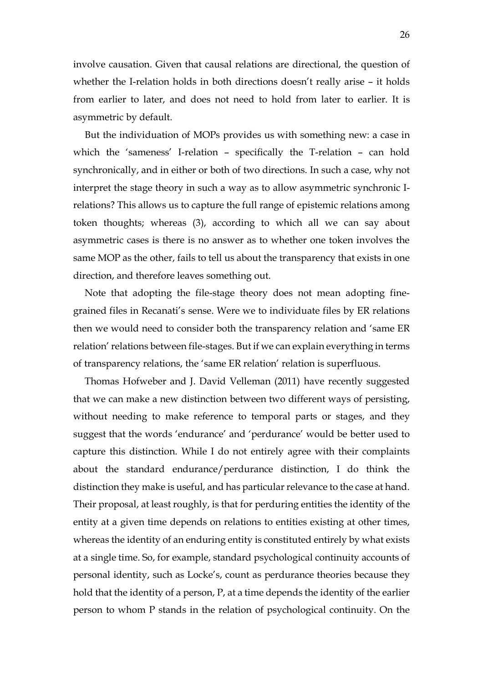involve causation. Given that causal relations are directional, the question of whether the I-relation holds in both directions doesn't really arise - it holds from earlier to later, and does not need to hold from later to earlier. It is asymmetric by default.

But the individuation of MOPs provides us with something new: a case in which the 'sameness' I-relation – specifically the T-relation – can hold synchronically, and in either or both of two directions. In such a case, why not interpret the stage theory in such a way as to allow asymmetric synchronic Irelations? This allows us to capture the full range of epistemic relations among token thoughts; whereas (3), according to which all we can say about asymmetric cases is there is no answer as to whether one token involves the same MOP as the other, fails to tell us about the transparency that exists in one direction, and therefore leaves something out.

Note that adopting the file-stage theory does not mean adopting finegrained files in Recanati's sense. Were we to individuate files by ER relations then we would need to consider both the transparency relation and 'same ER relation' relations between file-stages. But if we can explain everything in terms of transparency relations, the 'same ER relation' relation is superfluous.

Thomas Hofweber and J. David Velleman (2011) have recently suggested that we can make a new distinction between two different ways of persisting, without needing to make reference to temporal parts or stages, and they suggest that the words 'endurance' and 'perdurance' would be better used to capture this distinction. While I do not entirely agree with their complaints about the standard endurance/perdurance distinction, I do think the distinction they make is useful, and has particular relevance to the case at hand. Their proposal, at least roughly, is that for perduring entities the identity of the entity at a given time depends on relations to entities existing at other times, whereas the identity of an enduring entity is constituted entirely by what exists at a single time. So, for example, standard psychological continuity accounts of personal identity, such as Locke's, count as perdurance theories because they hold that the identity of a person, P, at a time depends the identity of the earlier person to whom P stands in the relation of psychological continuity. On the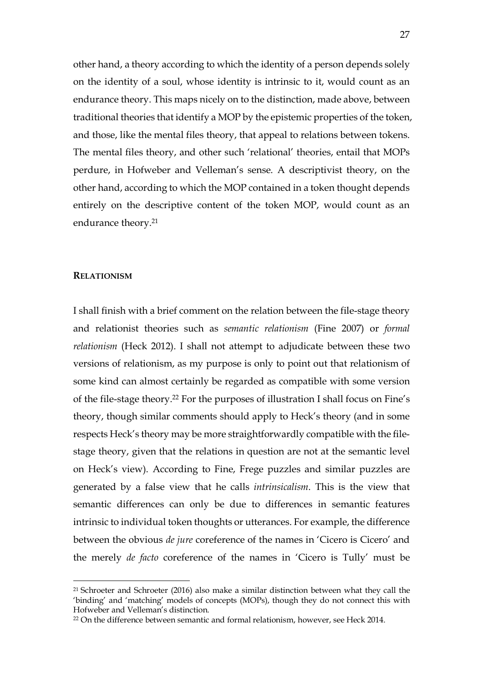other hand, a theory according to which the identity of a person depends solely on the identity of a soul, whose identity is intrinsic to it, would count as an endurance theory. This maps nicely on to the distinction, made above, between traditional theories that identify a MOP by the epistemic properties of the token, and those, like the mental files theory, that appeal to relations between tokens. The mental files theory, and other such 'relational' theories, entail that MOPs perdure, in Hofweber and Velleman's sense. A descriptivist theory, on the other hand, according to which the MOP contained in a token thought depends entirely on the descriptive content of the token MOP, would count as an endurance theory.21

#### **RELATIONISM**

I shall finish with a brief comment on the relation between the file-stage theory and relationist theories such as *semantic relationism* (Fine 2007) or *formal relationism* (Heck 2012). I shall not attempt to adjudicate between these two versions of relationism, as my purpose is only to point out that relationism of some kind can almost certainly be regarded as compatible with some version of the file-stage theory.22 For the purposes of illustration I shall focus on Fine's theory, though similar comments should apply to Heck's theory (and in some respects Heck's theory may be more straightforwardly compatible with the filestage theory, given that the relations in question are not at the semantic level on Heck's view). According to Fine, Frege puzzles and similar puzzles are generated by a false view that he calls *intrinsicalism*. This is the view that semantic differences can only be due to differences in semantic features intrinsic to individual token thoughts or utterances. For example, the difference between the obvious *de jure* coreference of the names in 'Cicero is Cicero' and the merely *de facto* coreference of the names in 'Cicero is Tully' must be

 <sup>21</sup> Schroeter and Schroeter (2016) also make a similar distinction between what they call the 'binding' and 'matching' models of concepts (MOPs), though they do not connect this with Hofweber and Velleman's distinction.

<sup>22</sup> On the difference between semantic and formal relationism, however, see Heck 2014.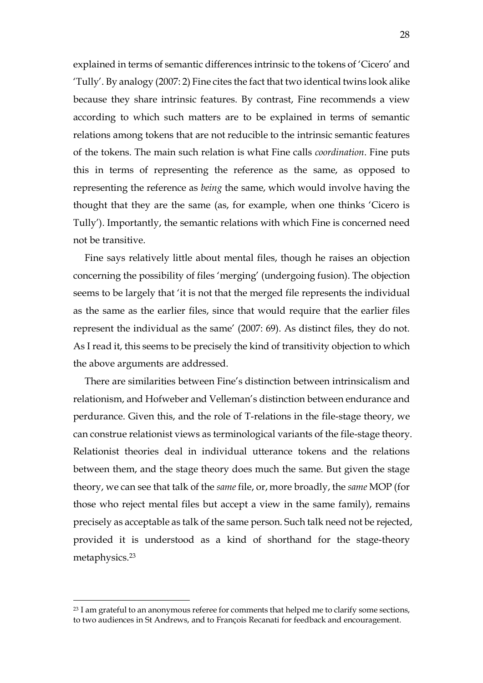explained in terms of semantic differences intrinsic to the tokens of 'Cicero' and 'Tully'. By analogy (2007: 2) Fine cites the fact that two identical twins look alike because they share intrinsic features. By contrast, Fine recommends a view according to which such matters are to be explained in terms of semantic relations among tokens that are not reducible to the intrinsic semantic features of the tokens. The main such relation is what Fine calls *coordination*. Fine puts this in terms of representing the reference as the same, as opposed to representing the reference as *being* the same, which would involve having the thought that they are the same (as, for example, when one thinks 'Cicero is Tully'). Importantly, the semantic relations with which Fine is concerned need not be transitive.

Fine says relatively little about mental files, though he raises an objection concerning the possibility of files 'merging' (undergoing fusion). The objection seems to be largely that 'it is not that the merged file represents the individual as the same as the earlier files, since that would require that the earlier files represent the individual as the same' (2007: 69). As distinct files, they do not. As I read it, this seems to be precisely the kind of transitivity objection to which the above arguments are addressed.

There are similarities between Fine's distinction between intrinsicalism and relationism, and Hofweber and Velleman's distinction between endurance and perdurance. Given this, and the role of T-relations in the file-stage theory, we can construe relationist views as terminological variants of the file-stage theory. Relationist theories deal in individual utterance tokens and the relations between them, and the stage theory does much the same. But given the stage theory, we can see that talk of the *same* file, or, more broadly, the *same* MOP (for those who reject mental files but accept a view in the same family), remains precisely as acceptable as talk of the same person. Such talk need not be rejected, provided it is understood as a kind of shorthand for the stage-theory metaphysics.23

<sup>&</sup>lt;sup>23</sup> I am grateful to an anonymous referee for comments that helped me to clarify some sections, to two audiences in St Andrews, and to François Recanati for feedback and encouragement.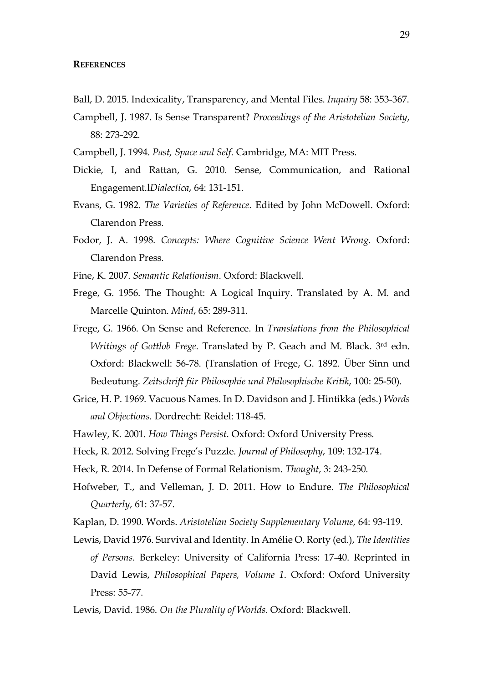#### **REFERENCES**

- Ball, D. 2015. Indexicality, Transparency, and Mental Files. *Inquiry* 58: 353-367.
- Campbell, J. 1987. Is Sense Transparent? *Proceedings of the Aristotelian Society*, 88: 273-292.
- Campbell, J. 1994. *Past, Space and Self*. Cambridge, MA: MIT Press.
- Dickie, I, and Rattan, G. 2010. Sense, Communication, and Rational Engagement.l*Dialectica*, 64: 131-151.
- Evans, G. 1982. *The Varieties of Reference*. Edited by John McDowell. Oxford: Clarendon Press.
- Fodor, J. A. 1998. *Concepts: Where Cognitive Science Went Wrong*. Oxford: Clarendon Press.
- Fine, K. 2007. *Semantic Relationism*. Oxford: Blackwell.
- Frege, G. 1956. The Thought: A Logical Inquiry. Translated by A. M. and Marcelle Quinton. *Mind*, 65: 289-311.
- Frege, G. 1966. On Sense and Reference. In *Translations from the Philosophical Writings of Gottlob Frege*. Translated by P. Geach and M. Black. 3rd edn. Oxford: Blackwell: 56-78. (Translation of Frege, G. 1892. Über Sinn und Bedeutung. *Zeitschrift für Philosophie und Philosophische Kritik*, 100: 25-50).
- Grice, H. P. 1969. Vacuous Names. In D. Davidson and J. Hintikka (eds.) *Words and Objections*. Dordrecht: Reidel: 118-45.
- Hawley, K. 2001. *How Things Persist*. Oxford: Oxford University Press.
- Heck, R. 2012. Solving Frege's Puzzle. *Journal of Philosophy*, 109: 132-174.
- Heck, R. 2014. In Defense of Formal Relationism. *Thought*, 3: 243-250.
- Hofweber, T., and Velleman, J. D. 2011. How to Endure. *The Philosophical Quarterly*, 61: 37-57.
- Kaplan, D. 1990. Words. *Aristotelian Society Supplementary Volume*, 64: 93-119.
- Lewis, David 1976. Survival and Identity. In Amélie O. Rorty (ed.), *The Identities of Persons*. Berkeley: University of California Press: 17-40. Reprinted in David Lewis, *Philosophical Papers, Volume 1*. Oxford: Oxford University Press: 55-77.
- Lewis, David. 1986. *On the Plurality of Worlds*. Oxford: Blackwell.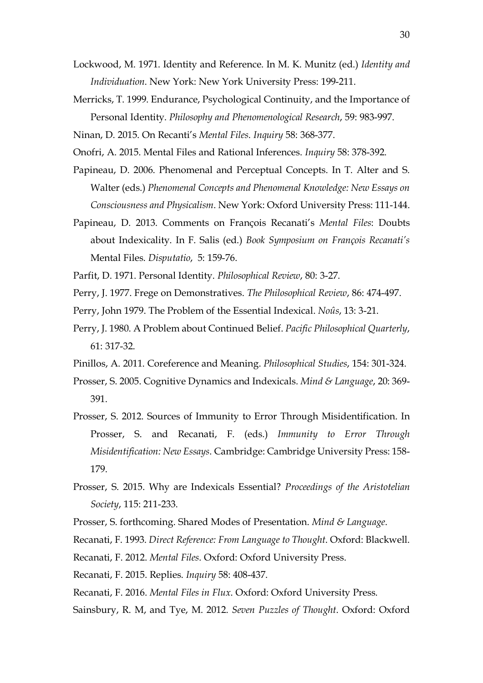- Lockwood, M. 1971. Identity and Reference. In M. K. Munitz (ed.) *Identity and Individuation*. New York: New York University Press: 199-211.
- Merricks, T. 1999. Endurance, Psychological Continuity, and the Importance of Personal Identity. *Philosophy and Phenomenological Research*, 59: 983-997.
- Ninan, D. 2015. On Recanti's *Mental Files*. *Inquiry* 58: 368-377.
- Onofri, A. 2015. Mental Files and Rational Inferences. *Inquiry* 58: 378-392.
- Papineau, D. 2006. Phenomenal and Perceptual Concepts. In T. Alter and S. Walter (eds.) *Phenomenal Concepts and Phenomenal Knowledge: New Essays on Consciousness and Physicalism*. New York: Oxford University Press: 111-144.
- Papineau, D. 2013. Comments on François Recanati's *Mental Files*: Doubts about Indexicality. In F. Salis (ed.) *Book Symposium on François Recanati's*  Mental Files. *Disputatio*, 5: 159-76.
- Parfit, D. 1971. Personal Identity. *Philosophical Review*, 80: 3-27.
- Perry, J. 1977. Frege on Demonstratives. *The Philosophical Review*, 86: 474-497.
- Perry, John 1979. The Problem of the Essential Indexical. *Noûs*, 13: 3-21.
- Perry, J. 1980. A Problem about Continued Belief. *Pacific Philosophical Quarterly*, 61: 317-32.
- Pinillos, A. 2011. Coreference and Meaning. *Philosophical Studies*, 154: 301-324.
- Prosser, S. 2005. Cognitive Dynamics and Indexicals. *Mind & Language*, 20: 369- 391.
- Prosser, S. 2012. Sources of Immunity to Error Through Misidentification. In Prosser, S. and Recanati, F. (eds.) *Immunity to Error Through Misidentification: New Essays*. Cambridge: Cambridge University Press: 158- 179.
- Prosser, S. 2015. Why are Indexicals Essential? *Proceedings of the Aristotelian Society*, 115: 211-233.
- Prosser, S. forthcoming. Shared Modes of Presentation. *Mind & Language*.
- Recanati, F. 1993. *Direct Reference: From Language to Thought*. Oxford: Blackwell.
- Recanati, F. 2012. *Mental Files*. Oxford: Oxford University Press.
- Recanati, F. 2015. Replies. *Inquiry* 58: 408-437.
- Recanati, F. 2016. *Mental Files in Flux*. Oxford: Oxford University Press.
- Sainsbury, R. M, and Tye, M. 2012. *Seven Puzzles of Thought*. Oxford: Oxford